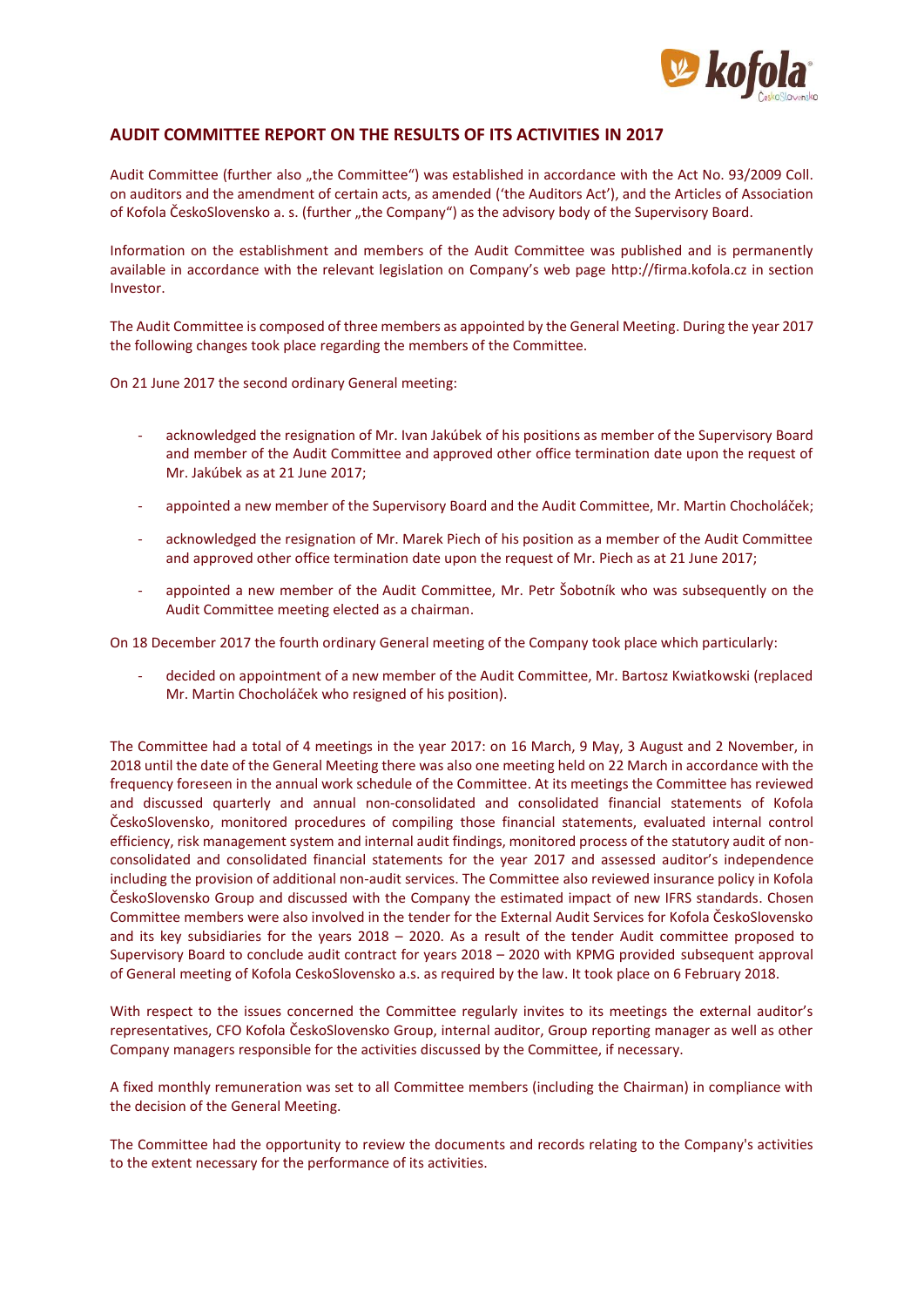

## **AUDIT COMMITTEE REPORT ON THE RESULTS OF ITS ACTIVITIES IN 2017**

Audit Committee (further also "the Committee") was established in accordance with the Act No. 93/2009 Coll. on auditors and the amendment of certain acts, as amended ('the Auditors Act'), and the Articles of Association of Kofola ČeskoSlovensko a. s. (further "the Company") as the advisory body of the Supervisory Board.

Information on the establishment and members of the Audit Committee was published and is permanently available in accordance with the relevant legislation on Company's web page [http://firma.kofola.cz](http://firma.kofola.cz/) in section Investor.

The Audit Committee is composed of three members as appointed by the General Meeting. During the year 2017 the following changes took place regarding the members of the Committee.

On 21 June 2017 the second ordinary General meeting:

- acknowledged the resignation of Mr. Ivan Jakúbek of his positions as member of the Supervisory Board and member of the Audit Committee and approved other office termination date upon the request of Mr. Jakúbek as at 21 June 2017;
- appointed a new member of the Supervisory Board and the Audit Committee, Mr. Martin Chocholáček;
- acknowledged the resignation of Mr. Marek Piech of his position as a member of the Audit Committee and approved other office termination date upon the request of Mr. Piech as at 21 June 2017;
- appointed a new member of the Audit Committee, Mr. Petr Šobotník who was subsequently on the Audit Committee meeting elected as a chairman.

On 18 December 2017 the fourth ordinary General meeting of the Company took place which particularly:

- decided on appointment of a new member of the Audit Committee, Mr. Bartosz Kwiatkowski (replaced Mr. Martin Chocholáček who resigned of his position).

The Committee had a total of 4 meetings in the year 2017: on 16 March, 9 May, 3 August and 2 November, in 2018 until the date of the General Meeting there was also one meeting held on 22 March in accordance with the frequency foreseen in the annual work schedule of the Committee. At its meetings the Committee has reviewed and discussed quarterly and annual non-consolidated and consolidated financial statements of Kofola ČeskoSlovensko, monitored procedures of compiling those financial statements, evaluated internal control efficiency, risk management system and internal audit findings, monitored process of the statutory audit of nonconsolidated and consolidated financial statements for the year 2017 and assessed auditor's independence including the provision of additional non-audit services. The Committee also reviewed insurance policy in Kofola ČeskoSlovensko Group and discussed with the Company the estimated impact of new IFRS standards. Chosen Committee members were also involved in the tender for the External Audit Services for Kofola ČeskoSlovensko and its key subsidiaries for the years 2018 – 2020. As a result of the tender Audit committee proposed to Supervisory Board to conclude audit contract for years 2018 – 2020 with KPMG provided subsequent approval of General meeting of Kofola CeskoSlovensko a.s. as required by the law. It took place on 6 February 2018.

With respect to the issues concerned the Committee regularly invites to its meetings the external auditor's representatives, CFO Kofola ČeskoSlovensko Group, internal auditor, Group reporting manager as well as other Company managers responsible for the activities discussed by the Committee, if necessary.

A fixed monthly remuneration was set to all Committee members (including the Chairman) in compliance with the decision of the General Meeting.

The Committee had the opportunity to review the documents and records relating to the Company's activities to the extent necessary for the performance of its activities.